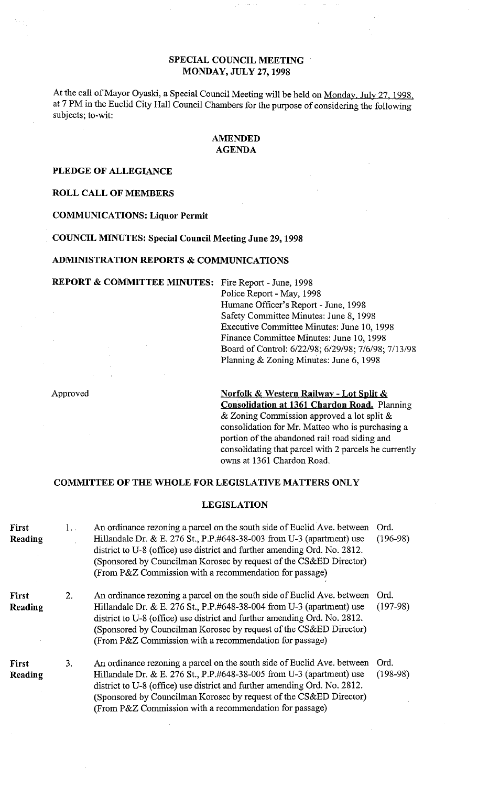## **SPECIAL COUNCIL MEETING MONDAY, JULY 27,1998**

At the call of Mayor Oyaski, a Special Council Meeting will be held on Mondav. July 27. 1998, at 7 PM in the Euclid City Hall Council Chambers for the purpose of considering the following subjects; to-wit:

#### **AMENDED AGENDA**

**PLEDGE OF ALLEGIANCE** 

**ROLL CALL OF MEMBERS** 

**COMMUNICATIONS: Liquor Permit** 

**COUNCIL MINUTES: Special Council Meeting June 29,1998** 

**ADMINISTRATION REPORTS** & **COMMUNICATIONS** 

**REPORT** & **COMMITTEE MINUTES:** Fire Report - June, 1998

Police Report - May, 1998 Humane Officer's Report - June, 1998 Safety Committee Minutes: June 8, 1998 Executive Committee Minutes: June 10, 1998 Finance Committee Minutes: June 10, 1998 Board of Control: 6/22/98; 6/29/98; 7/6/98; 7/13/98 Planning & Zoning Minutes: June 6, 1998

Approved **Norfolk** & **Western Railwav** - **Lot Split** & **Consolidation at 1361 Chardon Road.** Planning & Zoning Commission approved a lot split & consolidation for Mr. Matteo who is purchasing a portion of the abandoned rail road siding and consolidating that parcel with 2 parcels he currently owns at 1361 Chardon Road.

### **COMMITTEE OF THE WHOLE FOR LEGISLATIVE MATTERS ONLY**

#### **LEGISLATION**

| <b>First</b><br>Reading | 1. | An ordinance rezoning a parcel on the south side of Euclid Ave. between<br>Hillandale Dr. & E. 276 St., P.P.#648-38-003 from U-3 (apartment) use<br>district to U-8 (office) use district and further amending Ord. No. 2812.<br>(Sponsored by Councilman Korosec by request of the CS&ED Director)<br>(From P&Z Commission with a recommendation for passage) | Ord.<br>$(196-98)$ |
|-------------------------|----|----------------------------------------------------------------------------------------------------------------------------------------------------------------------------------------------------------------------------------------------------------------------------------------------------------------------------------------------------------------|--------------------|
| <b>First</b><br>Reading | 2. | An ordinance rezoning a parcel on the south side of Euclid Ave. between<br>Hillandale Dr. & E. 276 St., P.P.#648-38-004 from U-3 (apartment) use<br>district to U-8 (office) use district and further amending Ord. No. 2812.<br>(Sponsored by Councilman Korosec by request of the CS&ED Director)<br>(From P&Z Commission with a recommendation for passage) | Ord.<br>$(197-98)$ |
| First<br>Reading        | 3. | An ordinance rezoning a parcel on the south side of Euclid Ave. between<br>Hillandale Dr. & E. 276 St., P.P.#648-38-005 from U-3 (apartment) use<br>district to U-8 (office) use district and further amending Ord. No. 2812.<br>(Sponsored by Councilman Korosec by request of the CS&ED Director)<br>(From P&Z Commission with a recommendation for passage) | Ord.<br>$(198-98)$ |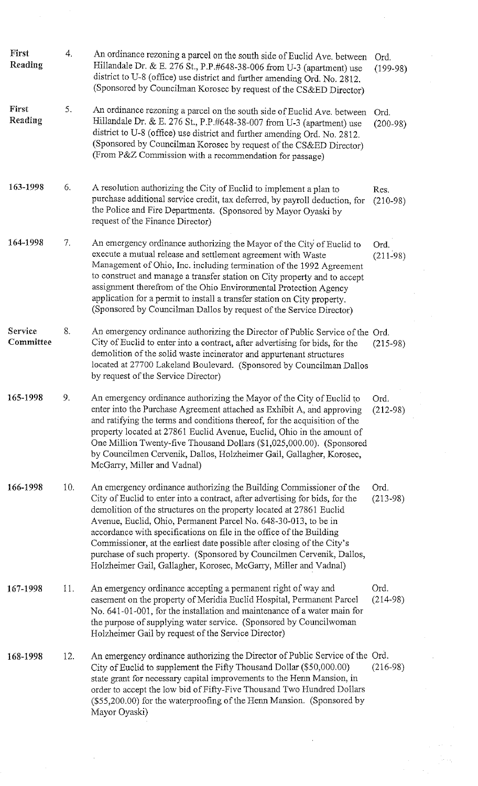| First<br>Reading            | 4.  | An ordinance rezoning a parcel on the south side of Euclid Ave. between<br>Hillandale Dr. & E. 276 St., P.P.#648-38-006 from U-3 (apartment) use<br>district to U-8 (office) use district and further amending Ord. No. 2812.<br>(Sponsored by Councilman Korosec by request of the CS&ED Director)                                                                                                                                                                                                                                                                                            | Ord.<br>$(199-98)$ |  |
|-----------------------------|-----|------------------------------------------------------------------------------------------------------------------------------------------------------------------------------------------------------------------------------------------------------------------------------------------------------------------------------------------------------------------------------------------------------------------------------------------------------------------------------------------------------------------------------------------------------------------------------------------------|--------------------|--|
| First<br>Reading            | 5.  | An ordinance rezoning a parcel on the south side of Euclid Ave. between<br>Hillandale Dr. & E. 276 St., P.P.#648-38-007 from U-3 (apartment) use<br>district to U-8 (office) use district and further amending Ord. No. 2812.<br>(Sponsored by Councilman Korosec by request of the CS&ED Director)<br>(From P&Z Commission with a recommendation for passage)                                                                                                                                                                                                                                 | Ord.<br>$(200-98)$ |  |
| 163-1998                    | 6.  | A resolution authorizing the City of Euclid to implement a plan to<br>purchase additional service credit, tax deferred, by payroll deduction, for<br>the Police and Fire Departments. (Sponsored by Mayor Oyaski by<br>request of the Finance Director)                                                                                                                                                                                                                                                                                                                                        | Res.<br>$(210-98)$ |  |
| 164-1998                    | 7.  | An emergency ordinance authorizing the Mayor of the City of Euclid to<br>execute a mutual release and settlement agreement with Waste<br>Management of Ohio, Inc. including termination of the 1992 Agreement<br>to construct and manage a transfer station on City property and to accept<br>assignment therefrom of the Ohio Environmental Protection Agency<br>application for a permit to install a transfer station on City property.<br>(Sponsored by Councilman Dallos by request of the Service Director)                                                                              | Ord.<br>$(211-98)$ |  |
| <b>Service</b><br>Committee | 8.  | An emergency ordinance authorizing the Director of Public Service of the Ord.<br>City of Euclid to enter into a contract, after advertising for bids, for the<br>demolition of the solid waste incinerator and appurtenant structures<br>located at 27700 Lakeland Boulevard. (Sponsored by Councilman Dallos<br>by request of the Service Director)                                                                                                                                                                                                                                           | $(215-98)$         |  |
| 165-1998                    | 9.  | An emergency ordinance authorizing the Mayor of the City of Euclid to<br>enter into the Purchase Agreement attached as Exhibit A, and approving<br>and ratifying the terms and conditions thereof, for the acquisition of the<br>property located at 27861 Euclid Avenue, Euclid, Ohio in the amount of<br>One Million Twenty-five Thousand Dollars (\$1,025,000.00). (Sponsored<br>by Councilmen Cervenik, Dallos, Holzheimer Gail, Gallagher, Korosec,<br>McGarry, Miller and Vadnal)                                                                                                        | Ord.<br>$(212-98)$ |  |
| 166-1998                    | 10. | An emergency ordinance authorizing the Building Commissioner of the<br>City of Euclid to enter into a contract, after advertising for bids, for the<br>demolition of the structures on the property located at 27861 Euclid<br>Avenue, Euclid, Ohio, Permanent Parcel No. 648-30-013, to be in<br>accordance with specifications on file in the office of the Building<br>Commissioner, at the earliest date possible after closing of the City's<br>purchase of such property. (Sponsored by Councilmen Cervenik, Dallos,<br>Holzheimer Gail, Gallagher, Korosec, McGarry, Miller and Vadnal) | Ord.<br>$(213-98)$ |  |
| 167-1998                    | 11. | An emergency ordinance accepting a permanent right of way and<br>easement on the property of Meridia Euclid Hospital, Permanent Parcel<br>No. 641-01-001, for the installation and maintenance of a water main for<br>the purpose of supplying water service. (Sponsored by Councilwoman<br>Holzheimer Gail by request of the Service Director)                                                                                                                                                                                                                                                | Ord.<br>$(214-98)$ |  |
| 168-1998                    | 12. | An emergency ordinance authorizing the Director of Public Service of the Ord.<br>City of Euclid to supplement the Fifty Thousand Dollar (\$50,000.00)<br>state grant for necessary capital improvements to the Henn Mansion, in<br>order to accept the low bid of Fifty-Five Thousand Two Hundred Dollars<br>(\$55,200.00) for the waterproofing of the Henn Mansion. (Sponsored by<br>Mayor Oyaski)                                                                                                                                                                                           | $(216-98)$         |  |
|                             |     |                                                                                                                                                                                                                                                                                                                                                                                                                                                                                                                                                                                                |                    |  |
|                             |     |                                                                                                                                                                                                                                                                                                                                                                                                                                                                                                                                                                                                |                    |  |

 $\frac{1}{2}$